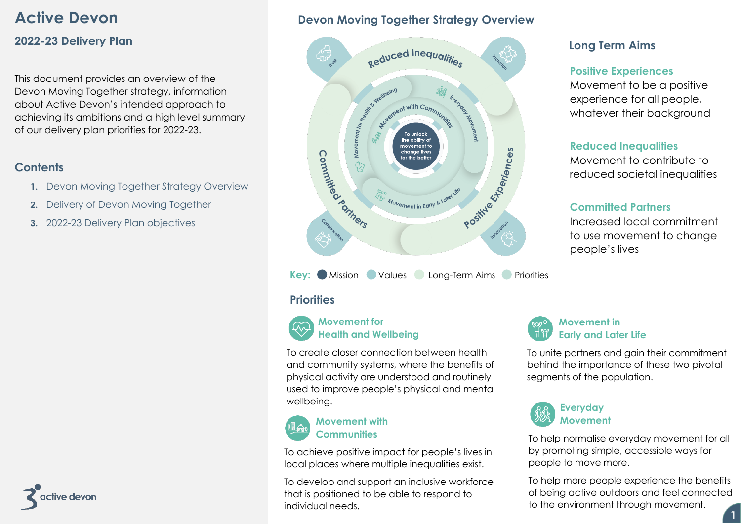# **Active Devon**

# **2022-23 Delivery Plan**

This document provides an overview of the Devon Moving Together strategy, information about Active Devon's intended approach to achieving its ambitions and a high level summary of our delivery plan priorities for 2022-23.

# **Contents**

- **1.** Devon Moving Together Strategy Overview
- **2.** Delivery of Devon Moving Together
- **3.** 2022-23 Delivery Plan objectives



# **Devon Moving Together Strategy Overview**



**Key:** Mission Values Long-Term Aims Priorities

# **Priorities**

# **Movement for Health and Wellbeing**

To create closer connection between health and community systems, where the benefits of physical activity are understood and routinely used to improve people's physical and mental wellbeing.

### **Movement with Communities**

To achieve positive impact for people's lives in local places where multiple inequalities exist.

To develop and support an inclusive workforce that is positioned to be able to respond to individual needs.

# **Long Term Aims**

# **Positive Experiences**

Movement to be a positive experience for all people, whatever their background

# **Reduced Inequalities**

Movement to contribute to reduced societal inequalities

# **Committed Partners**

Increased local commitment to use movement to change people's lives



To unite partners and gain their commitment behind the importance of these two pivotal segments of the population.



**Movement**

To help normalise everyday movement for all by promoting simple, accessible ways for people to move more.

To help more people experience the benefits of being active outdoors and feel connected to the environment through movement.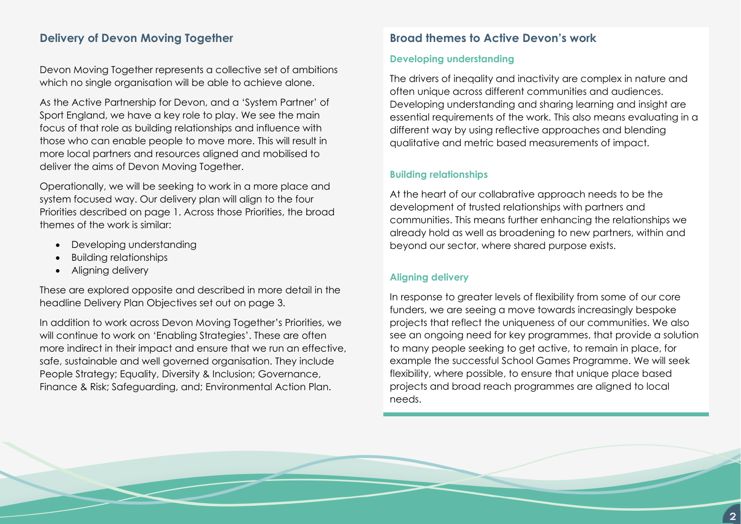# **Delivery of Devon Moving Together**

Devon Moving Together represents a collective set of ambitions which no single organisation will be able to achieve alone.

As the Active Partnership for Devon, and a 'System Partner' of Sport England, we have a key role to play. We see the main focus of that role as building relationships and influence with those who can enable people to move more. This will result in more local partners and resources aligned and mobilised to deliver the aims of Devon Moving Together.

Operationally, we will be seeking to work in a more place and system focused way. Our delivery plan will align to the four Priorities described on page 1. Across those Priorities, the broad themes of the work is similar:

- Developing understanding
- Building relationships
- Aligning delivery

These are explored opposite and described in more detail in the headline Delivery Plan Objectives set out on page 3.

In addition to work across Devon Moving Together's Priorities, we will continue to work on 'Enabling Strategies'. These are often more indirect in their impact and ensure that we run an effective, safe, sustainable and well governed organisation. They include People Strategy; Equality, Diversity & Inclusion; Governance, Finance & Risk; Safeguarding, and; Environmental Action Plan.

### **Broad themes to Active Devon's work**

### **Developing understanding**

The drivers of ineqality and inactivity are complex in nature and often unique across different communities and audiences. Developing understanding and sharing learning and insight are essential requirements of the work. This also means evaluating in a different way by using reflective approaches and blending qualitative and metric based measurements of impact.

### **Building relationships**

At the heart of our collabrative approach needs to be the development of trusted relationships with partners and communities. This means further enhancing the relationships we already hold as well as broadening to new partners, within and beyond our sector, where shared purpose exists.

### **Aligning delivery**

In response to greater levels of flexibility from some of our core funders, we are seeing a move towards increasingly bespoke projects that reflect the uniqueness of our communities. We also see an ongoing need for key programmes, that provide a solution to many people seeking to get active, to remain in place, for example the successful School Games Programme. We will seek flexibility, where possible, to ensure that unique place based projects and broad reach programmes are aligned to local needs.